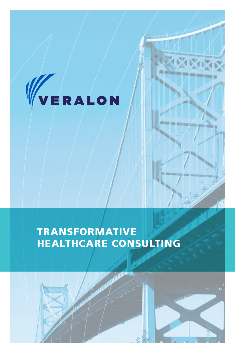

# TRANSFORMATIVE HEALTHCARE CONSULTING

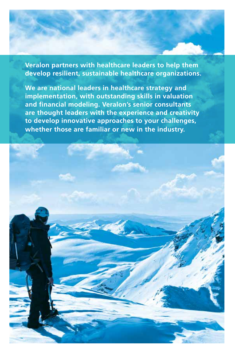**Veralon partners with healthcare leaders to help them develop resilient, sustainable healthcare organizations.** 

**We are national leaders in healthcare strategy and implementation, with outstanding skills in valuation and financial modeling. Veralon's senior consultants are thought leaders with the experience and creativity to develop innovative approaches to your challenges, whether those are familiar or new in the industry.**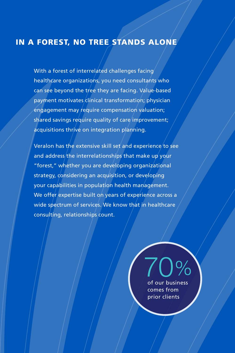# IN A FOREST, NO TREE STANDS ALONE

With a forest of interrelated challenges facing healthcare organizations, you need consultants who can see beyond the tree they are facing. Value-based payment motivates clinical transformation; physician engagement may require compensation valuation; shared savings require quality of care improvement; acquisitions thrive on integration planning.

Veralon has the extensive skill set and experience to see and address the interrelationships that make up your "forest," whether you are developing organizational strategy, considering an acquisition, or developing your capabilities in population health management. We offer expertise built on years of experience across a wide spectrum of services. We know that in healthcare consulting, relationships count.

> of our business comes from prior clients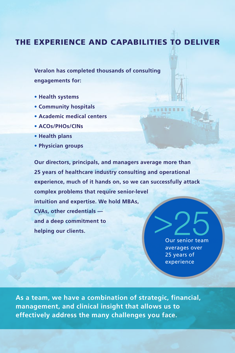### THE EXPERIENCE AND CAPABILITIES TO DELIVER

**Veralon has completed thousands of consulting engagements for:** 

- **Health systems**
- **Community hospitals**
- **Academic medical centers**
- **ACOs/PHOs/CINs**
- **Health plans**
- **Physician groups**

**Our directors, principals, and managers average more than 25 years of healthcare industry consulting and operational experience, much of it hands on, so we can successfully attack complex problems that require senior-level intuition and expertise. We hold MBAs, CVAs, other credentials and a deep commitment to helping our clients.**

> Our senior team averages over 25 years of experience

**STORE** 

**As a team, we have a combination of strategic, financial, management, and clinical insight that allows us to effectively address the many challenges you face.**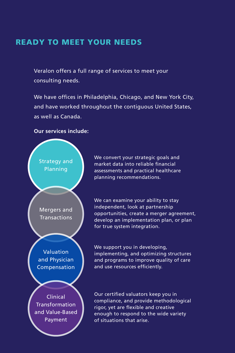## READY TO MEET YOUR NEEDS

Veralon offers a full range of services to meet your consulting needs.

We have offices in Philadelphia, Chicago, and New York City, and have worked throughout the contiguous United States, as well as Canada.

#### **Our services include:**



We convert your strategic goals and market data into reliable financial assessments and practical healthcare planning recommendations.

We can examine your ability to stay independent, look at partnership opportunities, create a merger agreement, develop an implementation plan, or plan for true system integration.

We support you in developing, implementing, and optimizing structures and programs to improve quality of care and use resources efficiently.

Our certified valuators keep you in compliance, and provide methodological rigor, yet are flexible and creative enough to respond to the wide variety of situations that arise.